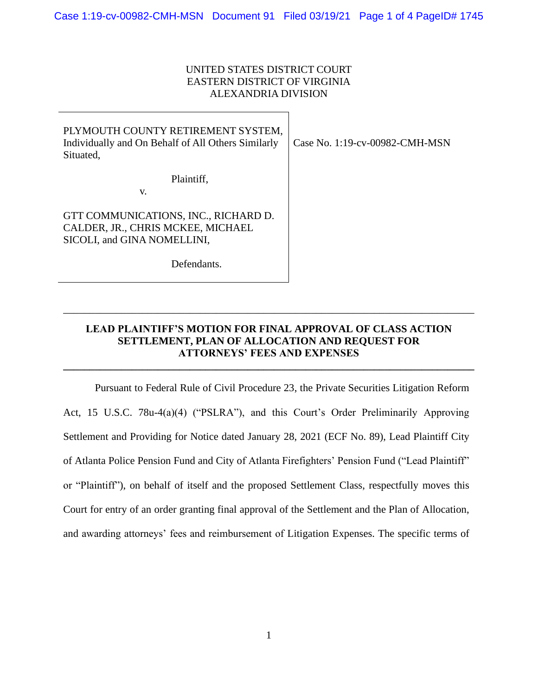## UNITED STATES DISTRICT COURT EASTERN DISTRICT OF VIRGINIA ALEXANDRIA DIVISION

| PLYMOUTH COUNTY RETIREMENT SYSTEM,<br>Individually and On Behalf of All Others Similarly<br>Situated,    | Case No. 1:19-cv-00982-CMH-MSN |
|----------------------------------------------------------------------------------------------------------|--------------------------------|
| Plaintiff,<br>V.                                                                                         |                                |
| GTT COMMUNICATIONS, INC., RICHARD D.<br>CALDER, JR., CHRIS MCKEE, MICHAEL<br>SICOLI, and GINA NOMELLINI, |                                |
| Defendants.                                                                                              |                                |

## **LEAD PLAINTIFF'S MOTION FOR FINAL APPROVAL OF CLASS ACTION SETTLEMENT, PLAN OF ALLOCATION AND REQUEST FOR ATTORNEYS' FEES AND EXPENSES**

**\_\_\_\_\_\_\_\_\_\_\_\_\_\_\_\_\_\_\_\_\_\_\_\_\_\_\_\_\_\_\_\_\_\_\_\_\_\_\_\_\_\_\_\_\_\_\_\_\_\_\_\_\_\_\_\_\_\_\_\_\_\_\_\_\_\_\_\_\_\_\_\_\_\_\_\_\_\_**

\_\_\_\_\_\_\_\_\_\_\_\_\_\_\_\_\_\_\_\_\_\_\_\_\_\_\_\_\_\_\_\_\_\_\_\_\_\_\_\_\_\_\_\_\_\_\_\_\_\_\_\_\_\_\_\_\_\_\_\_\_\_\_\_\_\_\_\_\_\_\_\_\_\_\_\_\_\_

Pursuant to Federal Rule of Civil Procedure 23, the Private Securities Litigation Reform Act, 15 U.S.C. 78u-4(a)(4) ("PSLRA"), and this Court's Order Preliminarily Approving Settlement and Providing for Notice dated January 28, 2021 (ECF No. 89), Lead Plaintiff City of Atlanta Police Pension Fund and City of Atlanta Firefighters' Pension Fund ("Lead Plaintiff" or "Plaintiff"), on behalf of itself and the proposed Settlement Class, respectfully moves this Court for entry of an order granting final approval of the Settlement and the Plan of Allocation, and awarding attorneys' fees and reimbursement of Litigation Expenses. The specific terms of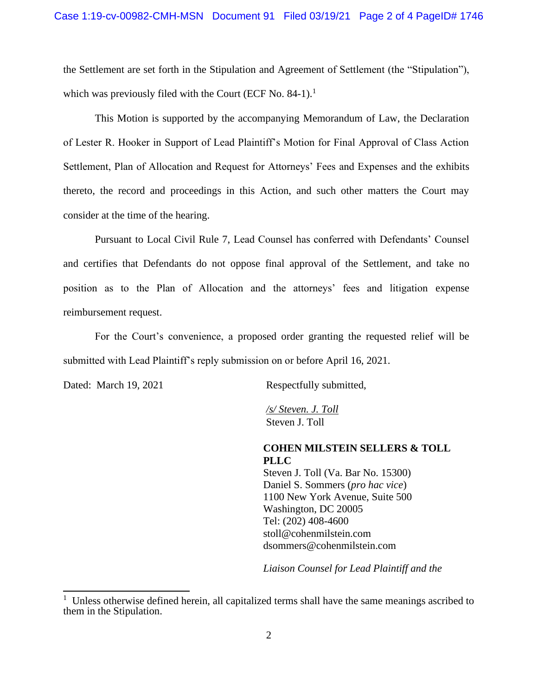the Settlement are set forth in the Stipulation and Agreement of Settlement (the "Stipulation"), which was previously filed with the Court (ECF No. 84-1).<sup>1</sup>

This Motion is supported by the accompanying Memorandum of Law, the Declaration of Lester R. Hooker in Support of Lead Plaintiff's Motion for Final Approval of Class Action Settlement, Plan of Allocation and Request for Attorneys' Fees and Expenses and the exhibits thereto, the record and proceedings in this Action, and such other matters the Court may consider at the time of the hearing.

Pursuant to Local Civil Rule 7, Lead Counsel has conferred with Defendants' Counsel and certifies that Defendants do not oppose final approval of the Settlement, and take no position as to the Plan of Allocation and the attorneys' fees and litigation expense reimbursement request.

For the Court's convenience, a proposed order granting the requested relief will be submitted with Lead Plaintiff's reply submission on or before April 16, 2021.

Dated: March 19, 2021 Respectfully submitted,

 */s/ Steven. J. Toll* Steven J. Toll

**COHEN MILSTEIN SELLERS & TOLL PLLC** 

Steven J. Toll (Va. Bar No. 15300) Daniel S. Sommers (*pro hac vice*) 1100 New York Avenue, Suite 500 Washington, DC 20005 Tel: (202) 408-4600 stoll@cohenmilstein.com dsommers@cohenmilstein.com

*Liaison Counsel for Lead Plaintiff and the* 

 $1$  Unless otherwise defined herein, all capitalized terms shall have the same meanings ascribed to them in the Stipulation.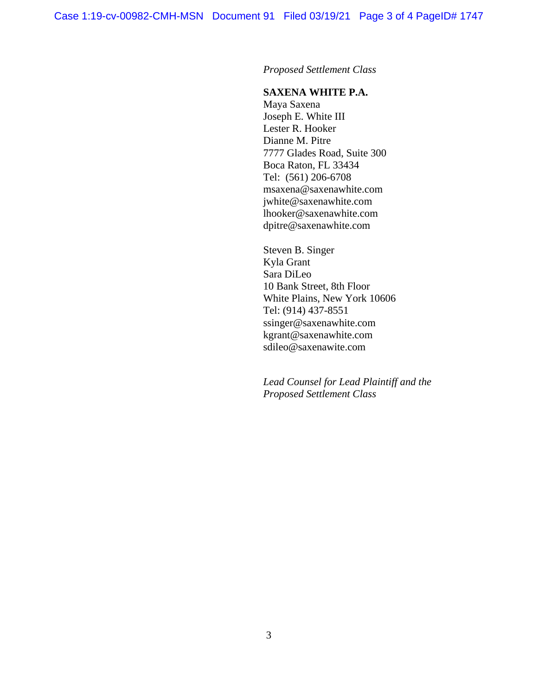*Proposed Settlement Class*

## **SAXENA WHITE P.A.**

Maya Saxena Joseph E. White III Lester R. Hooker Dianne M. Pitre 7777 Glades Road, Suite 300 Boca Raton, FL 33434 Tel: (561) 206-6708 msaxena@saxenawhite.com jwhite@saxenawhite.com lhooker@saxenawhite.com dpitre@saxenawhite.com

Steven B. Singer Kyla Grant Sara DiLeo 10 Bank Street, 8th Floor White Plains, New York 10606 Tel: (914) 437-8551 ssinger@saxenawhite.com kgrant@saxenawhite.com sdileo@saxenawite.com

*Lead Counsel for Lead Plaintiff and the Proposed Settlement Class*